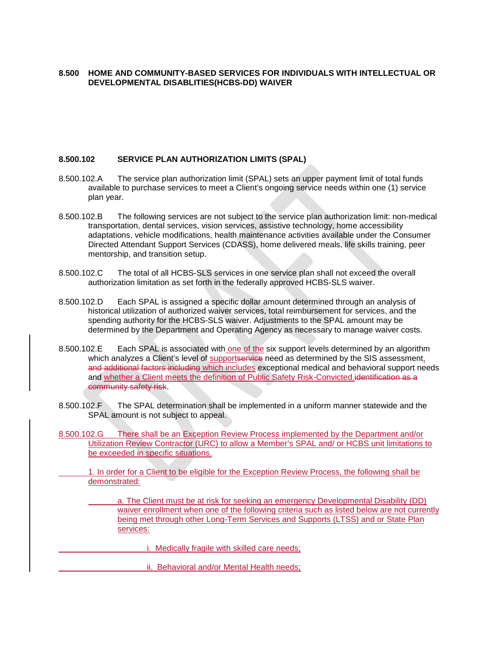## **8.500 HOME AND COMMUNITY-BASED SERVICES FOR INDIVIDUALS WITH INTELLECTUAL OR DEVELOPMENTAL DISABLITIES(HCBS-DD) WAIVER**

## **8.500.102 SERVICE PLAN AUTHORIZATION LIMITS (SPAL)**

- 8.500.102.A The service plan authorization limit (SPAL) sets an upper payment limit of total funds available to purchase services to meet a Client's ongoing service needs within one (1) service plan year.
- 8.500.102.B The following services are not subject to the service plan authorization limit: non-medical transportation, dental services, vision services, assistive technology, home accessibility adaptations, vehicle modifications, health maintenance activities available under the Consumer Directed Attendant Support Services (CDASS), home delivered meals, life skills training, peer mentorship, and transition setup.
- 8.500.102.C The total of all HCBS-SLS services in one service plan shall not exceed the overall authorization limitation as set forth in the federally approved HCBS-SLS waiver.
- 8.500.102.D Each SPAL is assigned a specific dollar amount determined through an analysis of historical utilization of authorized waiver services, total reimbursement for services, and the spending authority for the HCBS-SLS waiver. Adjustments to the SPAL amount may be determined by the Department and Operating Agency as necessary to manage waiver costs.
- 8.500.102.E Each SPAL is associated with one of the six support levels determined by an algorithm which analyzes a Client's level of supportservice need as determined by the SIS assessment, and additional factors including which includes exceptional medical and behavioral support needs and whether a Client meets the definition of Public Safety Risk-Convicted.identification as a community safety risk.
- 8.500.102.F The SPAL determination shall be implemented in a uniform manner statewide and the SPAL amount is not subject to appeal.
- 8.500.102.G There shall be an Exception Review Process implemented by the Department and/or Utilization Review Contractor (URC) to allow a Member's SPAL and/ or HCBS unit limitations to be exceeded in specific situations.
	- 1. In order for a Client to be eligible for the Exception Review Process, the following shall be demonstrated:
		- a. The Client must be at risk for seeking an emergency Developmental Disability (DD) waiver enrollment when one of the following criteria such as listed below are not currently being met through other Long-Term Services and Supports (LTSS) and or State Plan services:
			- i. Medically fragile with skilled care needs;
			- ii. Behavioral and/or Mental Health needs;